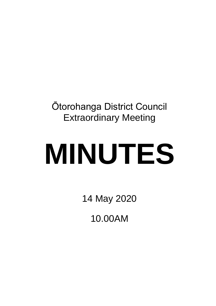Ōtorohanga District Council Extraordinary Meeting

# **MINUTES**

14 May 2020

10.00AM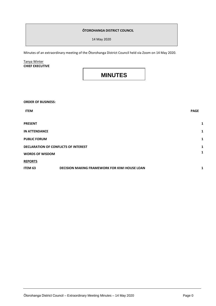# **ŌTOROHANGA DISTRICT COUNCIL**

14 May 2020

Minutes of an extraordinary meeting of the Ōtorohanga District Council held via Zoom on 14 May 2020.

## Tanya Winter **CHIEF EXECUTIVE**

# **MINUTES**

| <b>ORDER OF BUSINESS:</b>                   |                                                      |             |
|---------------------------------------------|------------------------------------------------------|-------------|
| <b>ITEM</b>                                 |                                                      | <b>PAGE</b> |
| <b>PRESENT</b>                              |                                                      | 1           |
| <b>IN ATTENDANCE</b>                        |                                                      | 1           |
| <b>PUBLIC FORUM</b>                         |                                                      | 1           |
| <b>DECLARATION OF CONFLICTS OF INTEREST</b> |                                                      | 1           |
| <b>WORDS OF WISDOM</b>                      |                                                      | 1           |
| <b>REPORTS</b>                              |                                                      |             |
| ITEM 63                                     | <b>DECISION MAKING FRAMEWORK FOR KIWI HOUSE LOAN</b> |             |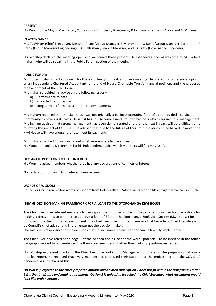### **PRESENT**

His Worship the Mayor MM Baxter, Councillors K Christison, B Ferguson, R Johnson, K Jeffries, RA Klos and A Williams

### **IN ATTENDANCE**

Ms. T. Winter (Chief Executive), Messrs., A Loe (Group Manager Environment), G Bunn (Group Manager Corporate), R Brady (Group Manager Engineering), B O'Callaghan (Finance Manager) and CA Tutty (Governance Supervisor).

His Worship declared the meeting open and welcomed those present. He extended a special welcome to Mr. Robert Ingham who will be speaking in the Public Forum section of the meeting.

### **PUBLIC FORUM**

Mr. Robert Ingham thanked Council for the opportunity to speak at today's meeting. He offered his professional opinion as an independent Chartered Accountant, on the Kiwi House Charitable Trust's financial position, and the proposed redevelopment of the Kiwi House.

Mr. Ingham provided his advice on the following issues –

- a) Performance to date.
- b) Projected performance
- c) Long term performance after the re-development.

Mr. Ingham reported that the Kiwi House was not originally a business operating for profit but provided a service to the Community by covering its costs. He said it has now become a medium sized business which requires solid management. Mr. Ingham advised that strong management has been demonstrated and that the next 3 years will be a difficult time following the impact of COVID-19. He advised that due to the future of tourism turnover could be halved however, the Kiwi House will have enough profit to meet its payments.

Mr. Ingham thanked Council and asked whether members had any questions. His Worship thanked Mr. Ingham for his independent advice which members will find very useful.

### **DECLARATION OF CONFLICTS OF INTEREST.**

His Worship asked members whether they had any declarations of conflicts of interest.

No declarations of conflicts of interest were received.

### **WORDS OF WISDOM**

Councillor Christison recited words of wisdom from Helen Keller – "Alone we can do so little, together we can so much".

### **ITEM 63 DECISION-MAKING FRAMEWORK FOR A LOAN TO THE OTOROHANGA KIWI HOUSE.**

The Chief Executive referred members to her report the purpose of which is to provide Council with some options for making a decision as to whether to approve a loan of \$2m to the Otorohanga Zoological Society (Kiwi House) for the purpose of the Kiwi House redevelopment. The Chief Executive informed members that her role of Chief Executive is to be Council's chief advisor and implementer not the decision maker.

She said she is responsible for the decisions that Council makes to ensure they can be lawfully implemented.

The Chief Executive referred to page 3 of the Agenda and asked for the word "potential" to be inserted in the fourth paragraph, second to last sentence. She then asked members whether they had any questions on her report.

His Worship expressed thanks to the Chief Executive and Group Manager – Corporate on the preparation of a very detailed report. He reported that every member has expressed their support for the project and that the COVID-19 pandemic has not changed this.

*His Worship referred to the three proposed options and advised that Option 1 does not fit within the timeframe, Option 2 fits the timeframe and legal requirements, Option 3 is unlawful. He asked the Chief Executive what resolutions would look like under Option 2.*